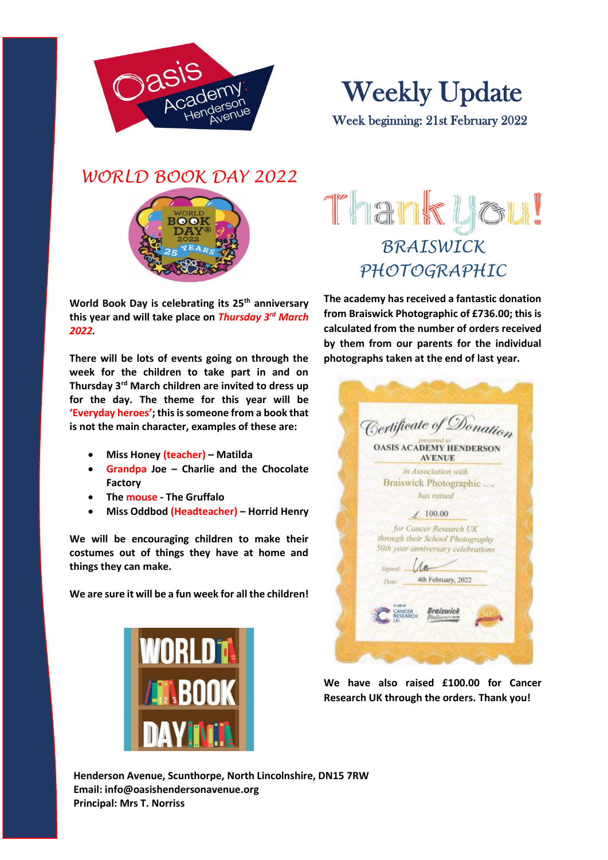



*WORLD BOOK DAY 2022*



**World Book Day is celebrating its 25th anniversary this year and will take place on** *Thursday 3rd March 2022.*

**There will be lots of events going on through the week for the children to take part in and on Thursday 3rd March children are invited to dress up for the day. The theme for this year will be 'Everyday heroes'; this is someone from a book that is not the main character, examples of these are:**

- **Miss Honey (teacher) – Matilda**
- **Grandpa Joe – Charlie and the Chocolate Factory**
- **The mouse - The Gruffalo**
- **Miss Oddbod (Headteacher) – Horrid Henry**

**We will be encouraging children to make their costumes out of things they have at home and things they can make.** 

**We are sure it will be a fun week for all the children!**



# Thank you! *BRAISWICK PHOTOGRAPHIC*

**The academy has received a fantastic donation from Braiswick Photographic of £736.00; this is calculated from the number of orders received by them from our parents for the individual photographs taken at the end of last year.**

|           | Certificate of Donation<br>presented in:<br><b>OASIS ACADEMY HENDERSON</b><br><b>AVENUE</b>      |
|-----------|--------------------------------------------------------------------------------------------------|
|           | in Association with<br>Braiswick Photographic                                                    |
|           | has raised                                                                                       |
|           | /100.00                                                                                          |
|           | for Cancer Research UK<br>through their School Photography<br>50th year anniversary celebrations |
| Stewall:  |                                                                                                  |
| Dane-     | 4th February, 2022                                                                               |
| In sig of | Braiswick<br>CANCER                                                                              |

**We have also raised £100.00 for Cancer Research UK through the orders. Thank you!**

**Henderson Avenue, Scunthorpe, North Lincolnshire, DN15 7RW Email: info@oasishendersonavenue.org Principal: Mrs T. Norriss**